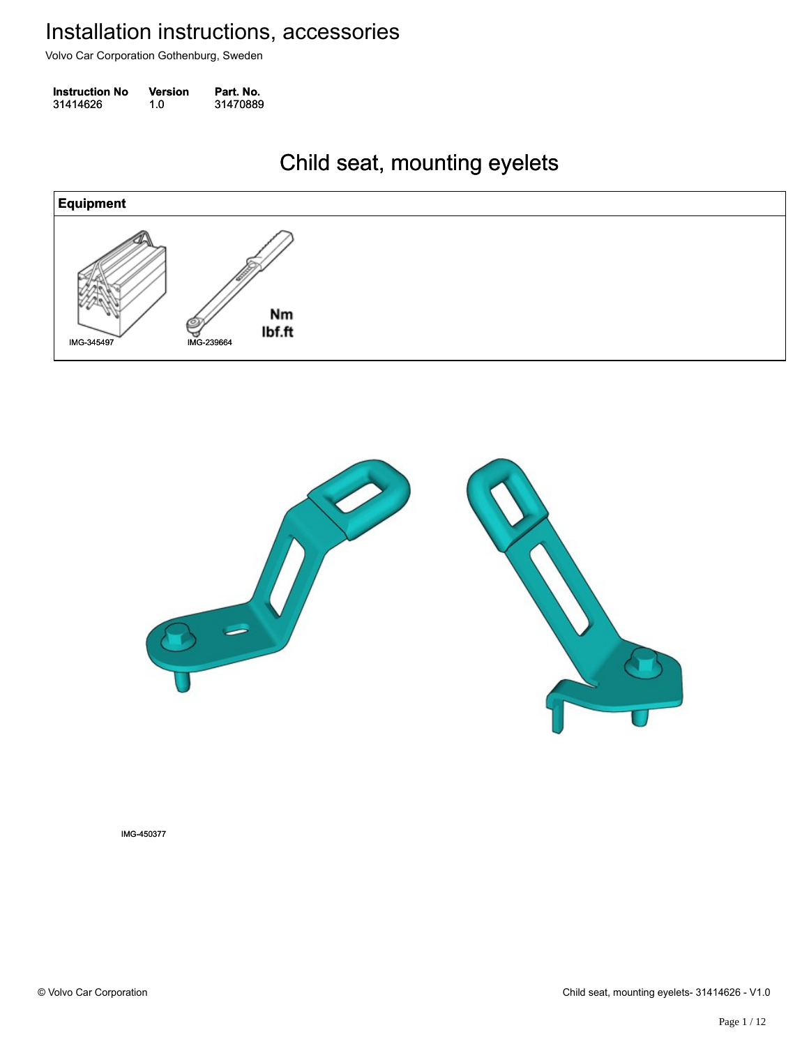Volvo Car Corporation Gothenburg, Sweden

| <b>Instruction No</b> | <b>Version</b> | Part. No. |
|-----------------------|----------------|-----------|
| 31414626              | 1.0            | 31470889  |

#### Child seat, mounting eyelets Child seat, mounting eyelets





IMG-450377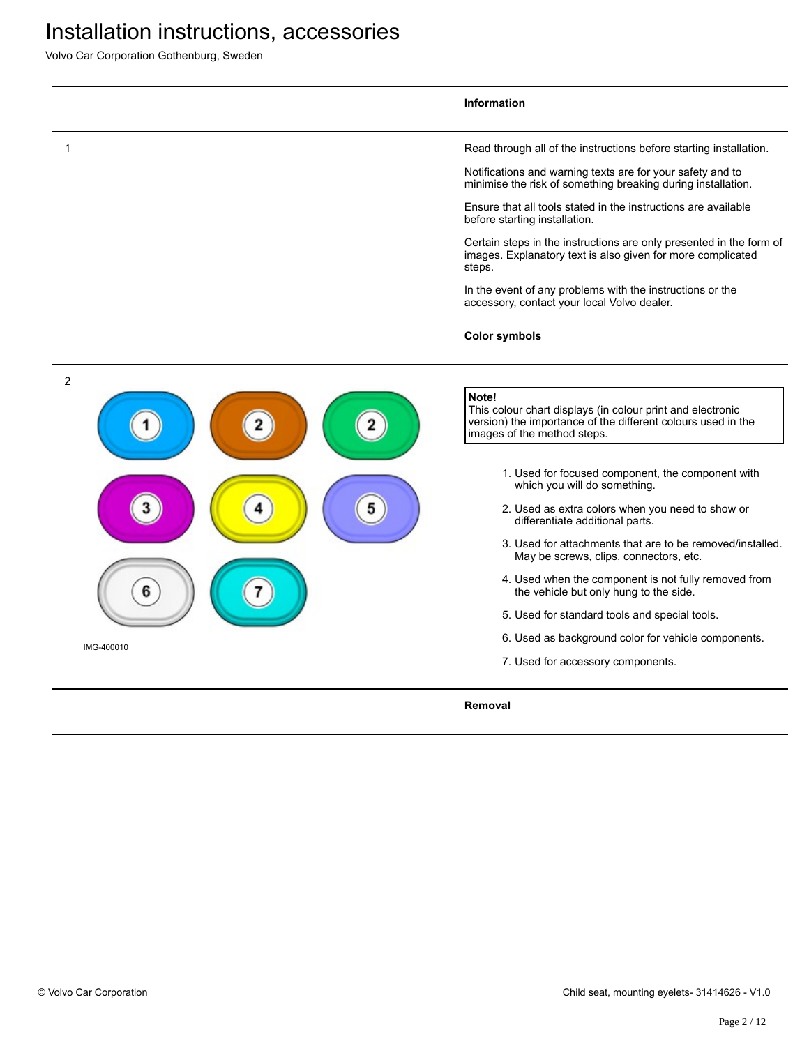Volvo Car Corporation Gothenburg, Sweden

|                              | Information                                                                                                                                                                                                                                                                                                                                                                                                                                                                                                                                                                                                                                                                                          |
|------------------------------|------------------------------------------------------------------------------------------------------------------------------------------------------------------------------------------------------------------------------------------------------------------------------------------------------------------------------------------------------------------------------------------------------------------------------------------------------------------------------------------------------------------------------------------------------------------------------------------------------------------------------------------------------------------------------------------------------|
| 1                            | Read through all of the instructions before starting installation.                                                                                                                                                                                                                                                                                                                                                                                                                                                                                                                                                                                                                                   |
|                              | Notifications and warning texts are for your safety and to<br>minimise the risk of something breaking during installation.                                                                                                                                                                                                                                                                                                                                                                                                                                                                                                                                                                           |
|                              | Ensure that all tools stated in the instructions are available<br>before starting installation.                                                                                                                                                                                                                                                                                                                                                                                                                                                                                                                                                                                                      |
|                              | Certain steps in the instructions are only presented in the form of<br>images. Explanatory text is also given for more complicated<br>steps.                                                                                                                                                                                                                                                                                                                                                                                                                                                                                                                                                         |
|                              | In the event of any problems with the instructions or the<br>accessory, contact your local Volvo dealer.                                                                                                                                                                                                                                                                                                                                                                                                                                                                                                                                                                                             |
|                              | <b>Color symbols</b>                                                                                                                                                                                                                                                                                                                                                                                                                                                                                                                                                                                                                                                                                 |
| $\overline{2}$<br>IMG-400010 | Note!<br>This colour chart displays (in colour print and electronic<br>version) the importance of the different colours used in the<br>images of the method steps.<br>1. Used for focused component, the component with<br>which you will do something.<br>2. Used as extra colors when you need to show or<br>differentiate additional parts.<br>3. Used for attachments that are to be removed/installed.<br>May be screws, clips, connectors, etc.<br>4. Used when the component is not fully removed from<br>the vehicle but only hung to the side.<br>5. Used for standard tools and special tools.<br>6. Used as background color for vehicle components.<br>7. Used for accessory components. |
|                              | Removal                                                                                                                                                                                                                                                                                                                                                                                                                                                                                                                                                                                                                                                                                              |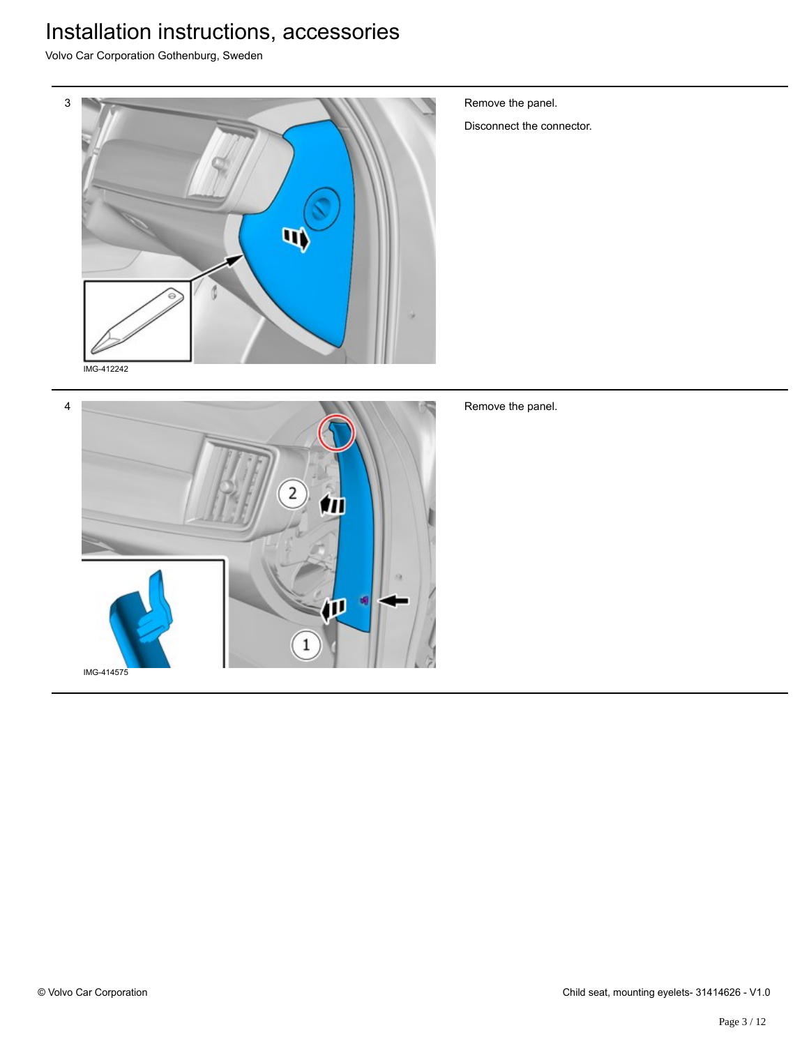Volvo Car Corporation Gothenburg, Sweden



Remove the panel.

Disconnect the connector.



Remove the panel.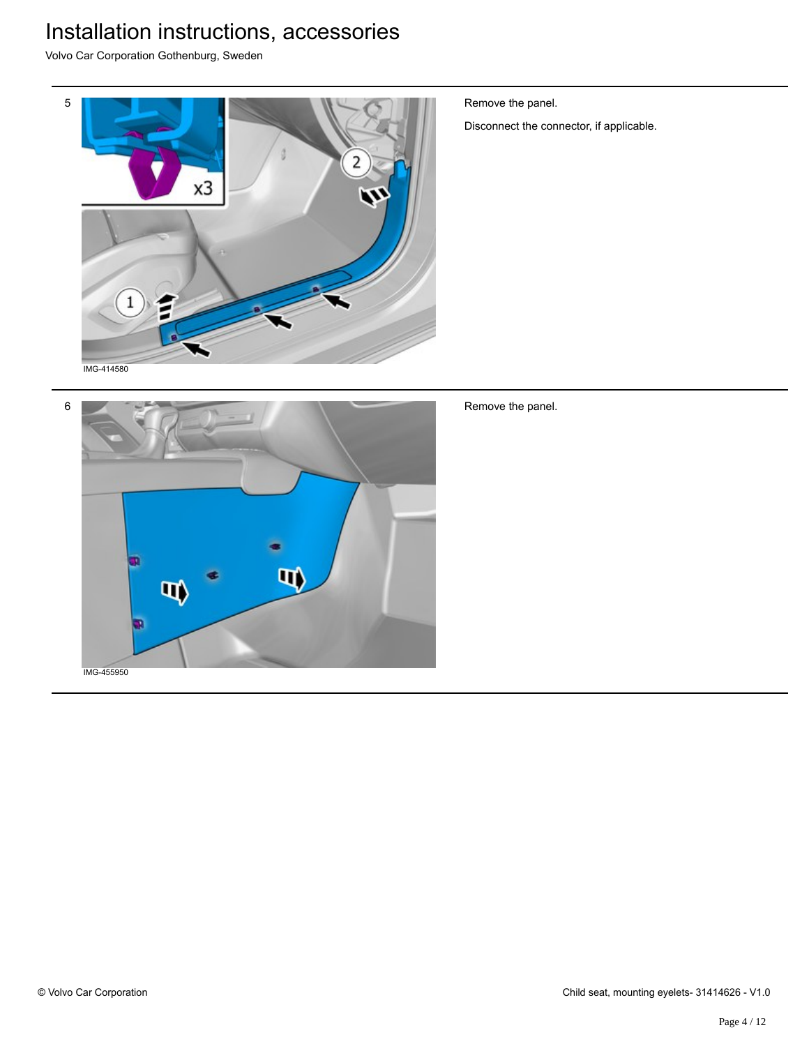Volvo Car Corporation Gothenburg, Sweden



Remove the panel.

Disconnect the connector, if applicable.



Remove the panel.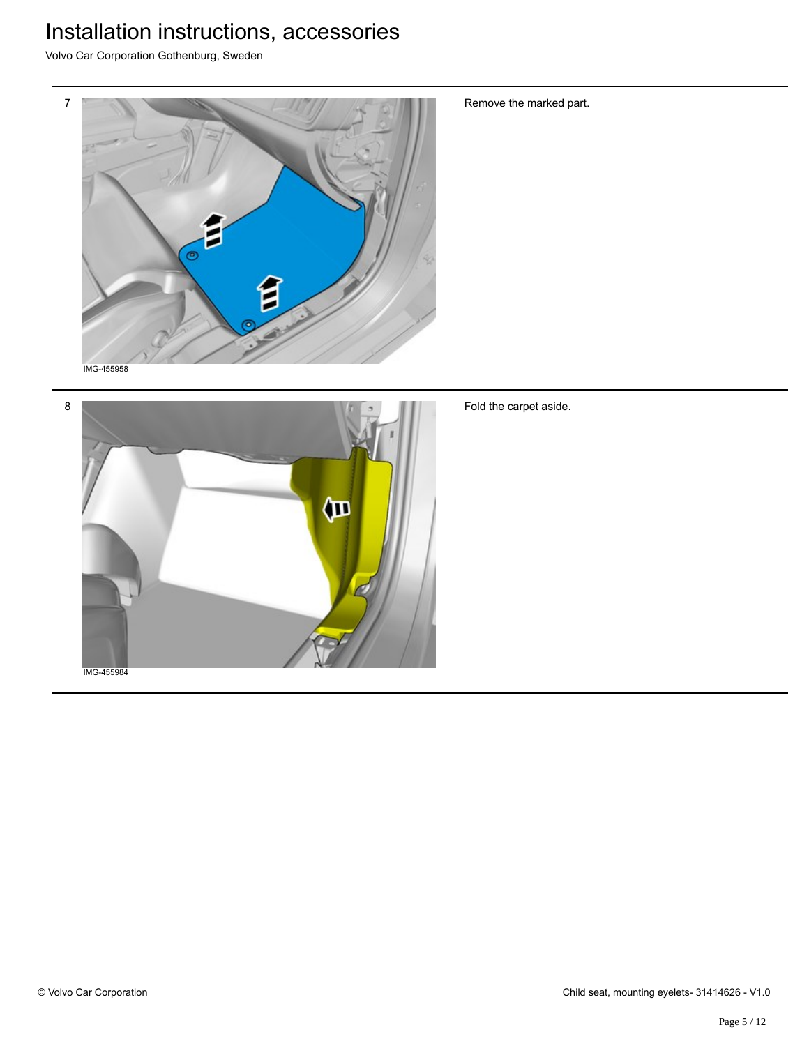Volvo Car Corporation Gothenburg, Sweden



Remove the marked part.



Fold the carpet aside.

IMG-455984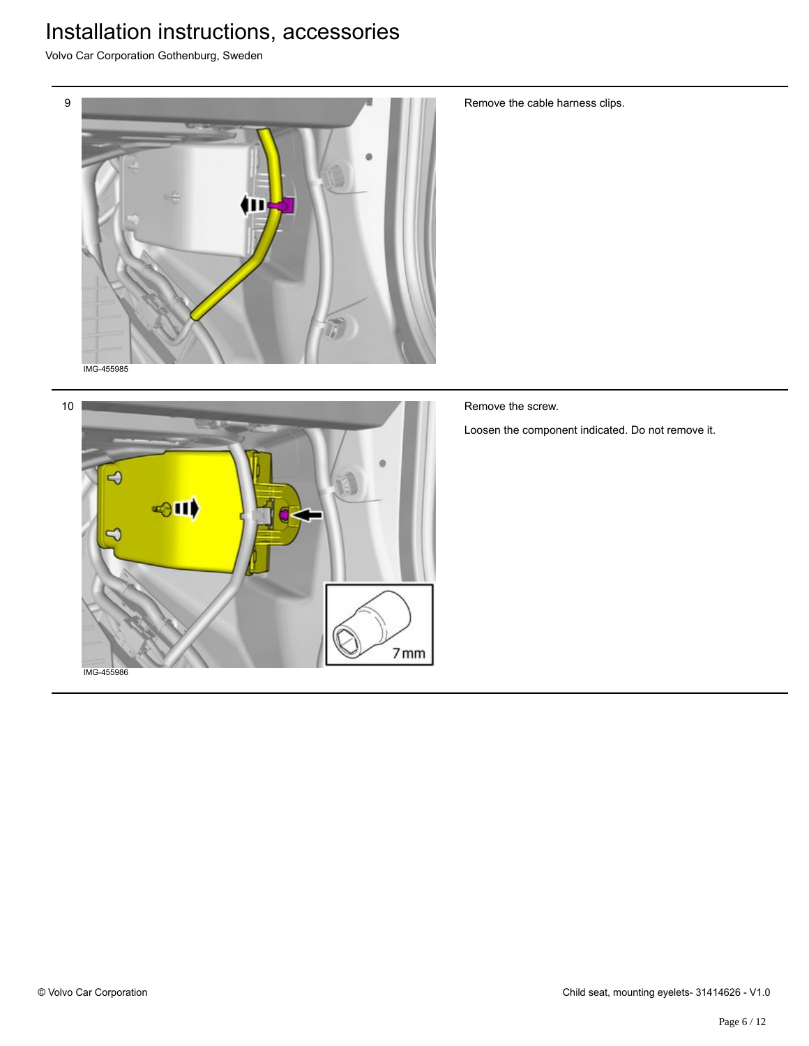Volvo Car Corporation Gothenburg, Sweden





Remove the cable harness clips.

Remove the screw.

Loosen the component indicated. Do not remove it.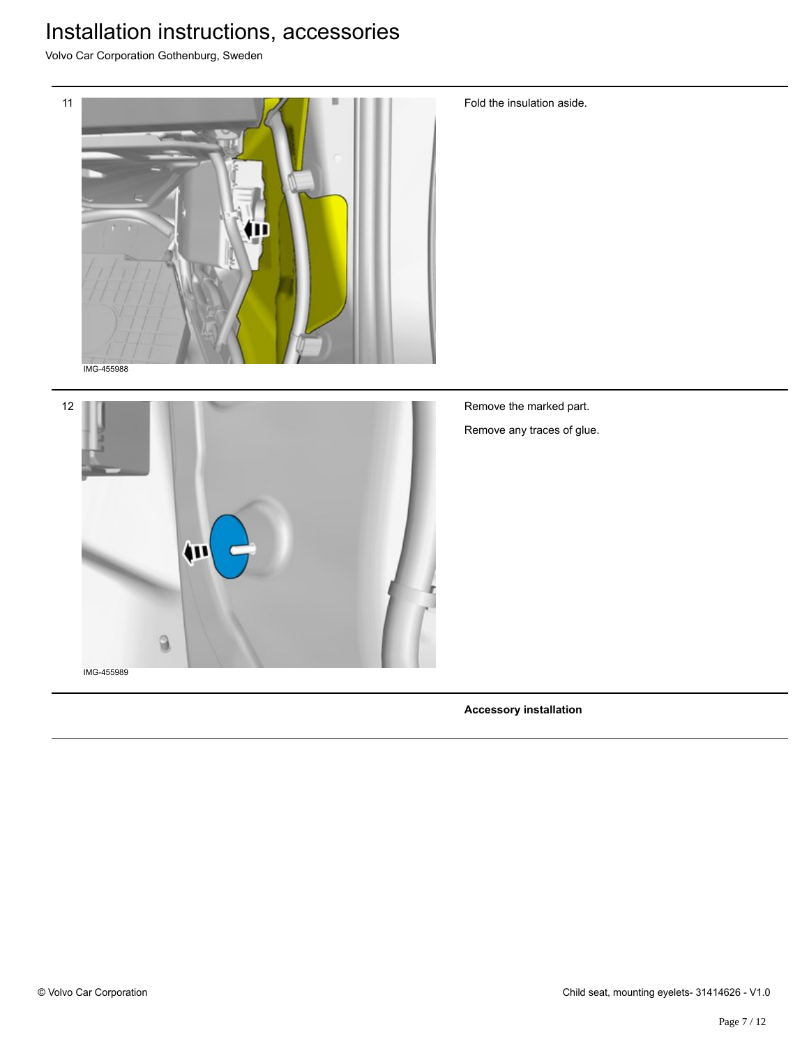Volvo Car Corporation Gothenburg, Sweden



Remove the marked part. Remove any traces of glue.

Fold the insulation aside.

12

IMG-455989

**Accessory installation**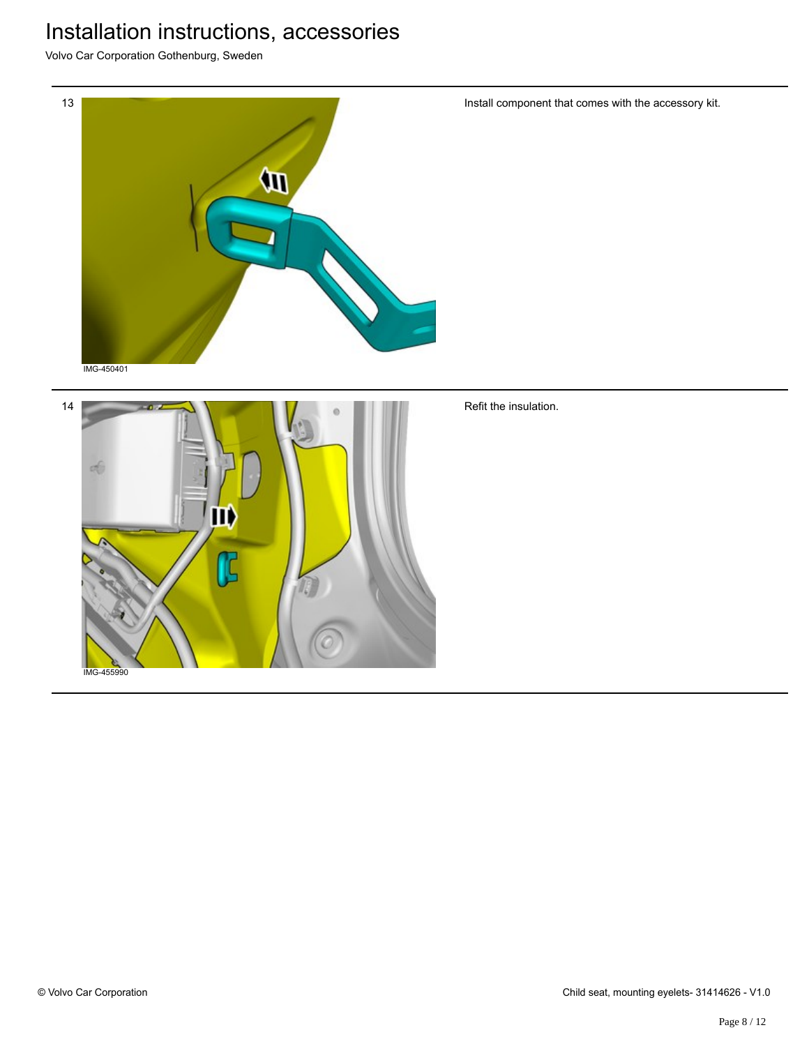Volvo Car Corporation Gothenburg, Sweden



IMG-455990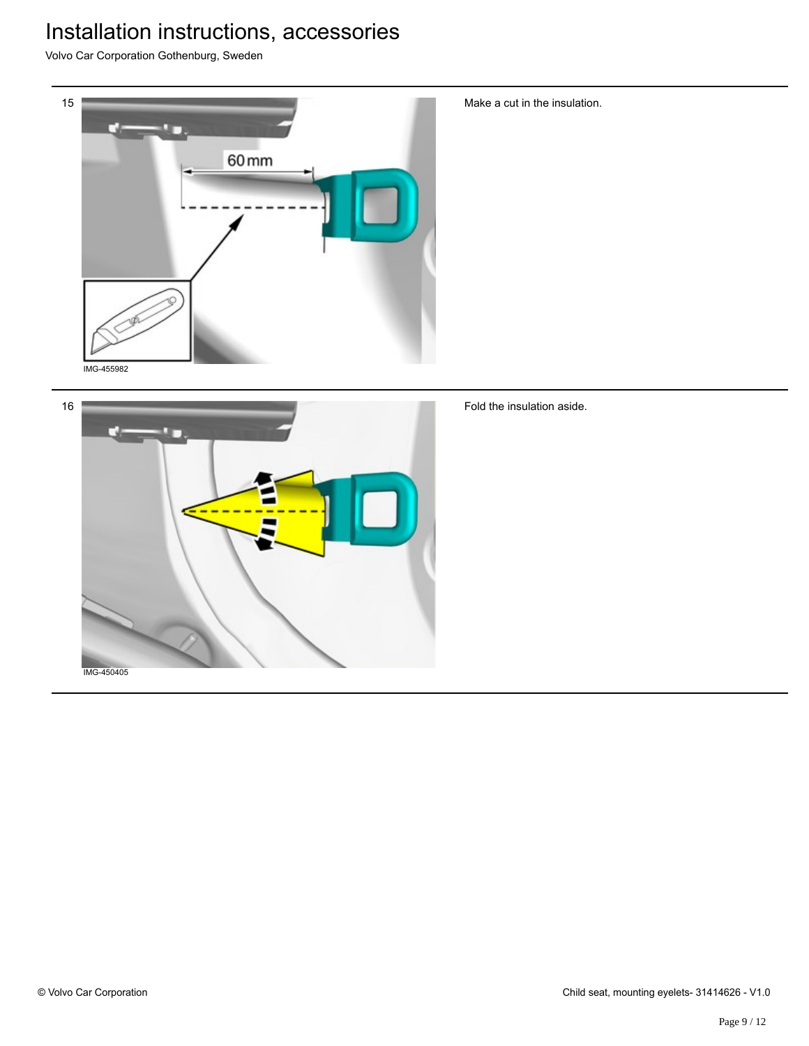Volvo Car Corporation Gothenburg, Sweden





Make a cut in the insulation.

Fold the insulation aside.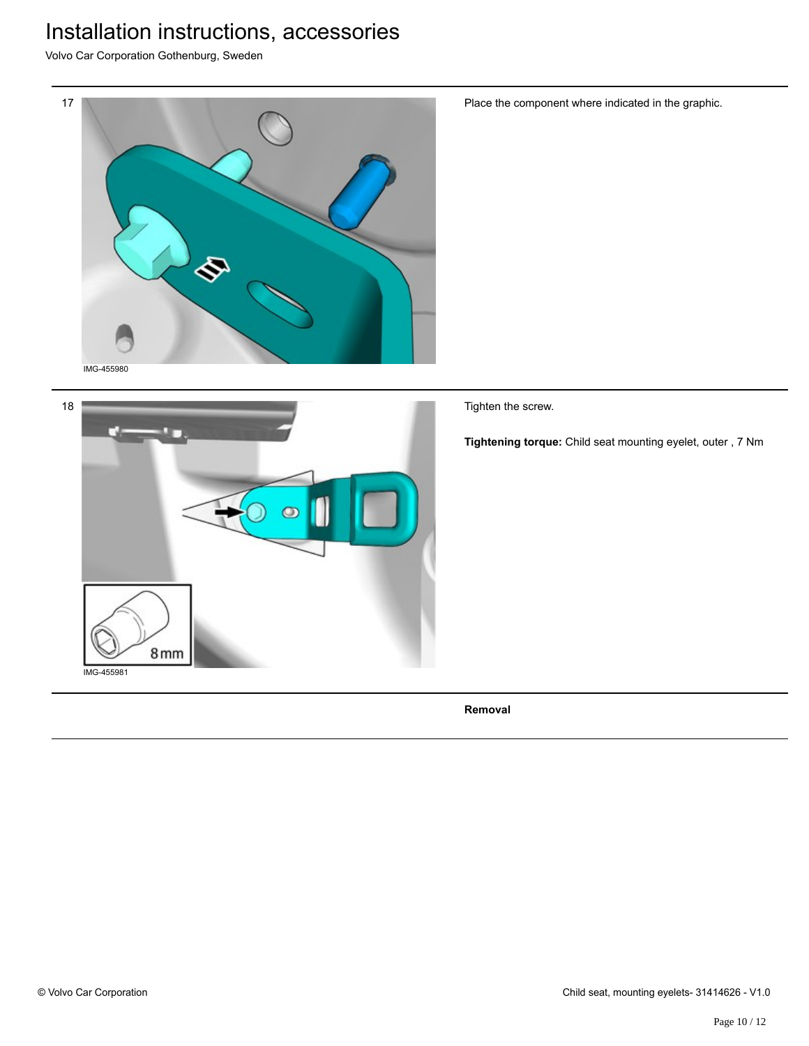Volvo Car Corporation Gothenburg, Sweden





Place the component where indicated in the graphic.

Tighten the screw.

**Tightening torque:** Child seat mounting eyelet, outer , 7 Nm

**Removal**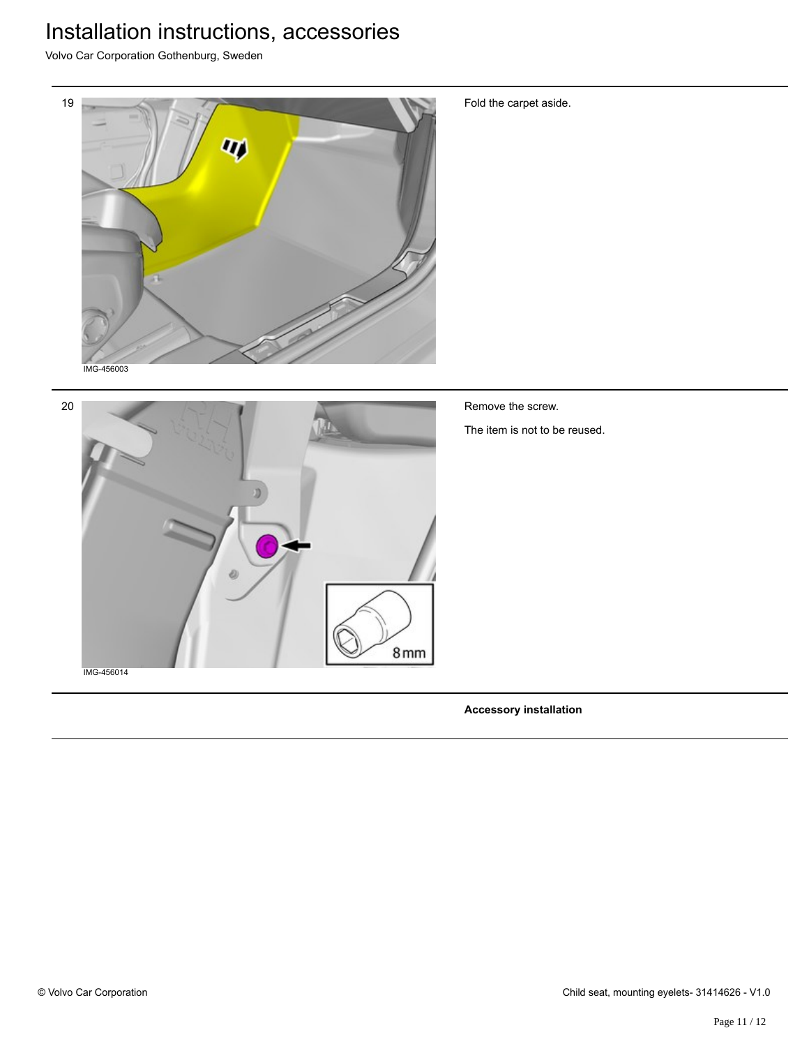Volvo Car Corporation Gothenburg, Sweden



Fold the carpet aside.



Remove the screw.

The item is not to be reused.

IMG-456014

**Accessory installation**